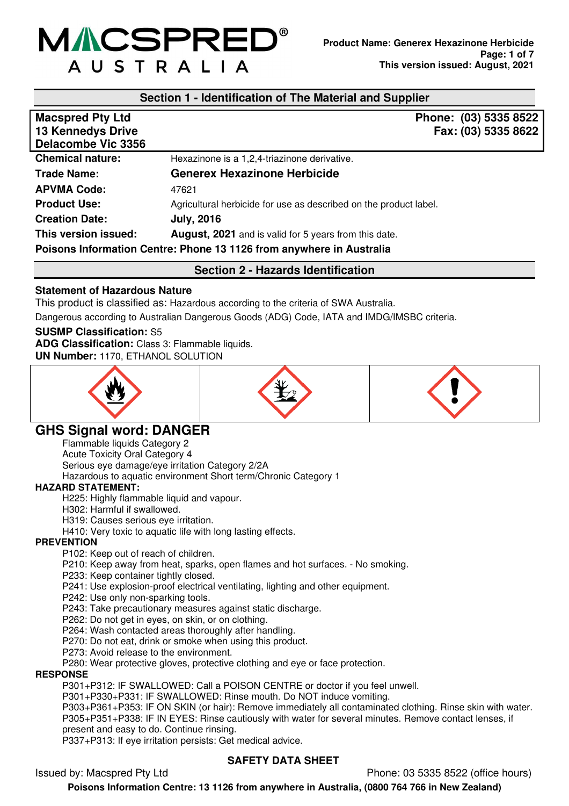# **MACSPRED®** AUSTRALIA

# **Section 1 - Identification of The Material and Supplier**

| <b>Macspred Pty Ltd</b><br><b>13 Kennedys Drive</b><br>Delacombe Vic 3356 | Phone: (03) 5335 8522<br>Fax: (03) 5335 8622                      |  |
|---------------------------------------------------------------------------|-------------------------------------------------------------------|--|
| <b>Chemical nature:</b>                                                   | Hexazinone is a 1,2,4-triazinone derivative.                      |  |
| <b>Trade Name:</b>                                                        | <b>Generex Hexazinone Herbicide</b>                               |  |
| <b>APVMA Code:</b>                                                        | 47621                                                             |  |
| <b>Product Use:</b>                                                       | Agricultural herbicide for use as described on the product label. |  |
| <b>Creation Date:</b>                                                     | <b>July, 2016</b>                                                 |  |
| This version issued:                                                      | <b>August, 2021</b> and is valid for 5 years from this date.      |  |
| Poisons Information Centre: Phone 13 1126 from anywhere in Australia      |                                                                   |  |

**Section 2 - Hazards Identification** 

#### **Statement of Hazardous Nature**

This product is classified as: Hazardous according to the criteria of SWA Australia.

Dangerous according to Australian Dangerous Goods (ADG) Code, IATA and IMDG/IMSBC criteria.

#### **SUSMP Classification:** S5

**ADG Classification:** Class 3: Flammable liquids.

**UN Number:** 1170, ETHANOL SOLUTION



# **GHS Signal word: DANGER**

Flammable liquids Category 2

Acute Toxicity Oral Category 4

Serious eye damage/eye irritation Category 2/2A

Hazardous to aquatic environment Short term/Chronic Category 1

#### **HAZARD STATEMENT:**

H225: Highly flammable liquid and vapour.

H302: Harmful if swallowed.

H319: Causes serious eye irritation.

H410: Very toxic to aquatic life with long lasting effects.

#### **PREVENTION**

P102: Keep out of reach of children.

P210: Keep away from heat, sparks, open flames and hot surfaces. - No smoking.

P233: Keep container tightly closed.

P241: Use explosion-proof electrical ventilating, lighting and other equipment.

P242: Use only non-sparking tools.

P243: Take precautionary measures against static discharge.

P262: Do not get in eyes, on skin, or on clothing.

P264: Wash contacted areas thoroughly after handling.

P270: Do not eat, drink or smoke when using this product.

P273: Avoid release to the environment.

P280: Wear protective gloves, protective clothing and eye or face protection.

#### **RESPONSE**

P301+P312: IF SWALLOWED: Call a POISON CENTRE or doctor if you feel unwell.

P301+P330+P331: IF SWALLOWED: Rinse mouth. Do NOT induce vomiting.

P303+P361+P353: IF ON SKIN (or hair): Remove immediately all contaminated clothing. Rinse skin with water. P305+P351+P338: IF IN EYES: Rinse cautiously with water for several minutes. Remove contact lenses, if present and easy to do. Continue rinsing.

P337+P313: If eye irritation persists: Get medical advice.

#### **SAFETY DATA SHEET**

Issued by: Macspred Pty Ltd Phone: 03 5335 8522 (office hours)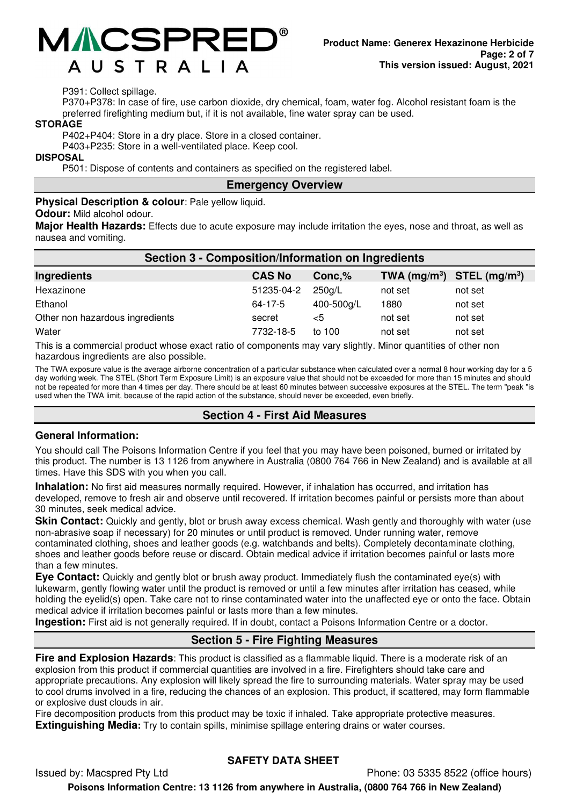

#### P391: Collect spillage.

P370+P378: In case of fire, use carbon dioxide, dry chemical, foam, water fog. Alcohol resistant foam is the preferred firefighting medium but, if it is not available, fine water spray can be used.

#### **STORAGE**

P402+P404: Store in a dry place. Store in a closed container.

P403+P235: Store in a well-ventilated place. Keep cool.

#### **DISPOSAL**

P501: Dispose of contents and containers as specified on the registered label.

# **Emergency Overview**

**Physical Description & colour: Pale yellow liquid.** 

#### **Odour:** Mild alcohol odour.

**Major Health Hazards:** Effects due to acute exposure may include irritation the eyes, nose and throat, as well as nausea and vomiting.

| Section 3 - Composition/Information on Ingredients |               |            |                                |         |
|----------------------------------------------------|---------------|------------|--------------------------------|---------|
| Ingredients                                        | <b>CAS No</b> | Conc,%     | TWA $(mg/m^3)$ STEL $(mg/m^3)$ |         |
| Hexazinone                                         | 51235-04-2    | 250g/L     | not set                        | not set |
| Ethanol                                            | 64-17-5       | 400-500g/L | 1880                           | not set |
| Other non hazardous ingredients                    | secret        | $<$ 5      | not set                        | not set |
| Water                                              | 7732-18-5     | to 100     | not set                        | not set |

This is a commercial product whose exact ratio of components may vary slightly. Minor quantities of other non hazardous ingredients are also possible.

The TWA exposure value is the average airborne concentration of a particular substance when calculated over a normal 8 hour working day for a 5 day working week. The STEL (Short Term Exposure Limit) is an exposure value that should not be exceeded for more than 15 minutes and should not be repeated for more than 4 times per day. There should be at least 60 minutes between successive exposures at the STEL. The term "peak "is used when the TWA limit, because of the rapid action of the substance, should never be exceeded, even briefly.

# **Section 4 - First Aid Measures**

#### **General Information:**

You should call The Poisons Information Centre if you feel that you may have been poisoned, burned or irritated by this product. The number is 13 1126 from anywhere in Australia (0800 764 766 in New Zealand) and is available at all times. Have this SDS with you when you call.

**Inhalation:** No first aid measures normally required. However, if inhalation has occurred, and irritation has developed, remove to fresh air and observe until recovered. If irritation becomes painful or persists more than about 30 minutes, seek medical advice.

**Skin Contact:** Quickly and gently, blot or brush away excess chemical. Wash gently and thoroughly with water (use non-abrasive soap if necessary) for 20 minutes or until product is removed. Under running water, remove contaminated clothing, shoes and leather goods (e.g. watchbands and belts). Completely decontaminate clothing, shoes and leather goods before reuse or discard. Obtain medical advice if irritation becomes painful or lasts more than a few minutes.

**Eye Contact:** Quickly and gently blot or brush away product. Immediately flush the contaminated eye(s) with lukewarm, gently flowing water until the product is removed or until a few minutes after irritation has ceased, while holding the eyelid(s) open. Take care not to rinse contaminated water into the unaffected eye or onto the face. Obtain medical advice if irritation becomes painful or lasts more than a few minutes.

**Ingestion:** First aid is not generally required. If in doubt, contact a Poisons Information Centre or a doctor.

# **Section 5 - Fire Fighting Measures**

**Fire and Explosion Hazards**: This product is classified as a flammable liquid. There is a moderate risk of an explosion from this product if commercial quantities are involved in a fire. Firefighters should take care and appropriate precautions. Any explosion will likely spread the fire to surrounding materials. Water spray may be used to cool drums involved in a fire, reducing the chances of an explosion. This product, if scattered, may form flammable or explosive dust clouds in air.

Fire decomposition products from this product may be toxic if inhaled. Take appropriate protective measures. **Extinguishing Media:** Try to contain spills, minimise spillage entering drains or water courses.

# **SAFETY DATA SHEET**

Issued by: Macspred Pty Ltd Phone: 03 5335 8522 (office hours)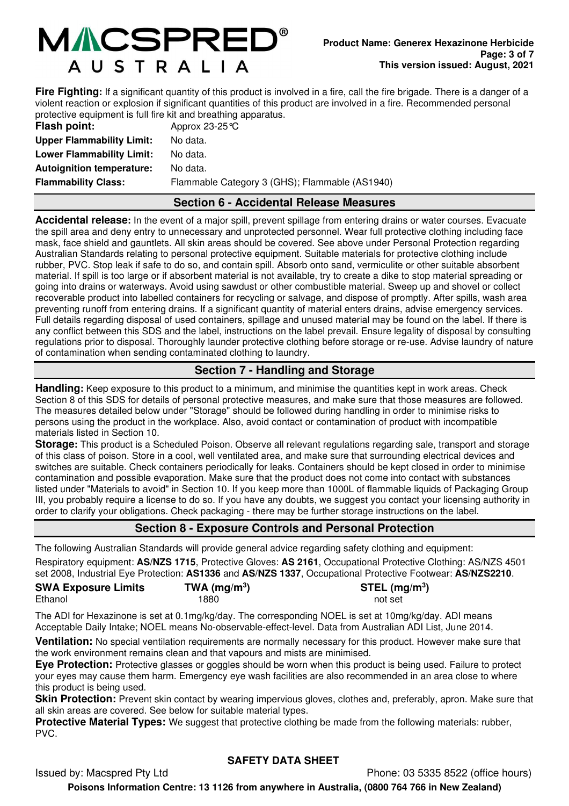

Fire Fighting: If a significant quantity of this product is involved in a fire, call the fire brigade. There is a danger of a violent reaction or explosion if significant quantities of this product are involved in a fire. Recommended personal protective equipment is full fire kit and breathing apparatus.

| Flash point:                     | Approx $23-25$ °C                              |
|----------------------------------|------------------------------------------------|
| <b>Upper Flammability Limit:</b> | No data.                                       |
| <b>Lower Flammability Limit:</b> | No data.                                       |
| <b>Autoignition temperature:</b> | No data.                                       |
| <b>Flammability Class:</b>       | Flammable Category 3 (GHS); Flammable (AS1940) |
|                                  |                                                |

#### **Section 6 - Accidental Release Measures**

**Accidental release:** In the event of a major spill, prevent spillage from entering drains or water courses. Evacuate the spill area and deny entry to unnecessary and unprotected personnel. Wear full protective clothing including face mask, face shield and gauntlets. All skin areas should be covered. See above under Personal Protection regarding Australian Standards relating to personal protective equipment. Suitable materials for protective clothing include rubber, PVC. Stop leak if safe to do so, and contain spill. Absorb onto sand, vermiculite or other suitable absorbent material. If spill is too large or if absorbent material is not available, try to create a dike to stop material spreading or going into drains or waterways. Avoid using sawdust or other combustible material. Sweep up and shovel or collect recoverable product into labelled containers for recycling or salvage, and dispose of promptly. After spills, wash area preventing runoff from entering drains. If a significant quantity of material enters drains, advise emergency services. Full details regarding disposal of used containers, spillage and unused material may be found on the label. If there is any conflict between this SDS and the label, instructions on the label prevail. Ensure legality of disposal by consulting regulations prior to disposal. Thoroughly launder protective clothing before storage or re-use. Advise laundry of nature of contamination when sending contaminated clothing to laundry.

# **Section 7 - Handling and Storage**

**Handling:** Keep exposure to this product to a minimum, and minimise the quantities kept in work areas. Check Section 8 of this SDS for details of personal protective measures, and make sure that those measures are followed. The measures detailed below under "Storage" should be followed during handling in order to minimise risks to persons using the product in the workplace. Also, avoid contact or contamination of product with incompatible materials listed in Section 10.

**Storage:** This product is a Scheduled Poison. Observe all relevant regulations regarding sale, transport and storage of this class of poison. Store in a cool, well ventilated area, and make sure that surrounding electrical devices and switches are suitable. Check containers periodically for leaks. Containers should be kept closed in order to minimise contamination and possible evaporation. Make sure that the product does not come into contact with substances listed under "Materials to avoid" in Section 10. If you keep more than 1000L of flammable liquids of Packaging Group III, you probably require a license to do so. If you have any doubts, we suggest you contact your licensing authority in order to clarify your obligations. Check packaging - there may be further storage instructions on the label.

#### **Section 8 - Exposure Controls and Personal Protection**

The following Australian Standards will provide general advice regarding safety clothing and equipment:

Respiratory equipment: **AS/NZS 1715**, Protective Gloves: **AS 2161**, Occupational Protective Clothing: AS/NZS 4501 set 2008, Industrial Eye Protection: **AS1336** and **AS/NZS 1337**, Occupational Protective Footwear: **AS/NZS2210**.

| <b>SWA Exposure Limits</b> | TWA (mg/m $3)$ ) | STEL (mg/m <sup>3</sup> ) |
|----------------------------|------------------|---------------------------|
| Ethanol                    | 1880             | not set                   |

The ADI for Hexazinone is set at 0.1mg/kg/day. The corresponding NOEL is set at 10mg/kg/day. ADI means Acceptable Daily Intake; NOEL means No-observable-effect-level. Data from Australian ADI List, June 2014.

**Ventilation:** No special ventilation requirements are normally necessary for this product. However make sure that the work environment remains clean and that vapours and mists are minimised.

**Eye Protection:** Protective glasses or goggles should be worn when this product is being used. Failure to protect your eyes may cause them harm. Emergency eye wash facilities are also recommended in an area close to where this product is being used.

**Skin Protection:** Prevent skin contact by wearing impervious gloves, clothes and, preferably, apron. Make sure that all skin areas are covered. See below for suitable material types.

**Protective Material Types:** We suggest that protective clothing be made from the following materials: rubber, PVC.

#### **SAFETY DATA SHEET**

Issued by: Macspred Pty Ltd Phone: 03 5335 8522 (office hours)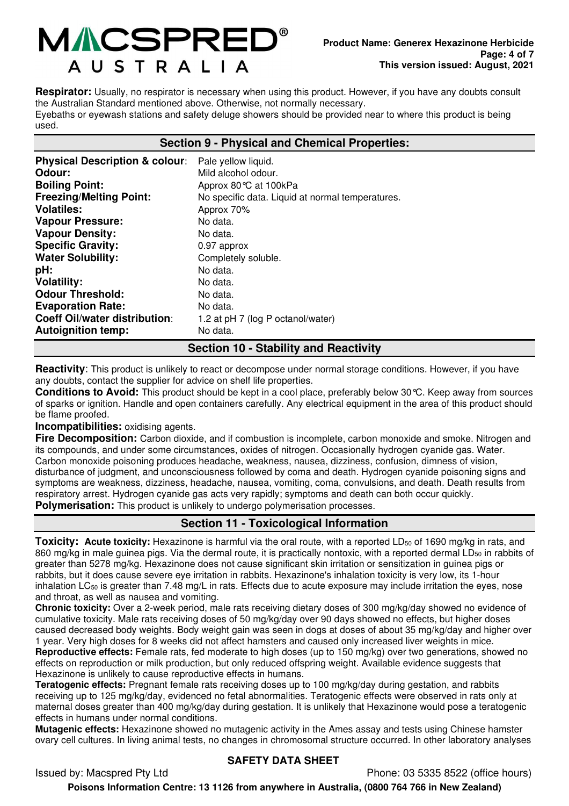

**Respirator:** Usually, no respirator is necessary when using this product. However, if you have any doubts consult the Australian Standard mentioned above. Otherwise, not normally necessary. Eyebaths or eyewash stations and safety deluge showers should be provided near to where this product is being used.

# **Section 9 - Physical and Chemical Properties:**

| <b>Physical Description &amp; colour:</b> | Pale yellow liquid.                              |
|-------------------------------------------|--------------------------------------------------|
| Odour:                                    | Mild alcohol odour.                              |
| <b>Boiling Point:</b>                     | Approx 80 ℃ at 100kPa                            |
| <b>Freezing/Melting Point:</b>            | No specific data. Liquid at normal temperatures. |
| <b>Volatiles:</b>                         | Approx 70%                                       |
| <b>Vapour Pressure:</b>                   | No data.                                         |
| <b>Vapour Density:</b>                    | No data.                                         |
| <b>Specific Gravity:</b>                  | 0.97 approx                                      |
| <b>Water Solubility:</b>                  | Completely soluble.                              |
| pH:                                       | No data.                                         |
| <b>Volatility:</b>                        | No data.                                         |
| <b>Odour Threshold:</b>                   | No data.                                         |
| <b>Evaporation Rate:</b>                  | No data.                                         |
| <b>Coeff Oil/water distribution:</b>      | 1.2 at pH 7 (log P octanol/water)                |
| <b>Autoignition temp:</b>                 | No data.                                         |

#### **Section 10 - Stability and Reactivity**

**Reactivity**: This product is unlikely to react or decompose under normal storage conditions. However, if you have any doubts, contact the supplier for advice on shelf life properties.

**Conditions to Avoid:** This product should be kept in a cool place, preferably below 30°C. Keep away from sources of sparks or ignition. Handle and open containers carefully. Any electrical equipment in the area of this product should be flame proofed.

**Incompatibilities:** oxidising agents.

**Fire Decomposition:** Carbon dioxide, and if combustion is incomplete, carbon monoxide and smoke. Nitrogen and its compounds, and under some circumstances, oxides of nitrogen. Occasionally hydrogen cyanide gas. Water. Carbon monoxide poisoning produces headache, weakness, nausea, dizziness, confusion, dimness of vision, disturbance of judgment, and unconsciousness followed by coma and death. Hydrogen cyanide poisoning signs and symptoms are weakness, dizziness, headache, nausea, vomiting, coma, convulsions, and death. Death results from respiratory arrest. Hydrogen cyanide gas acts very rapidly; symptoms and death can both occur quickly. **Polymerisation:** This product is unlikely to undergo polymerisation processes.

#### **Section 11 - Toxicological Information**

**Toxicity: Acute toxicity:** Hexazinone is harmful via the oral route, with a reported LD<sub>50</sub> of 1690 mg/kg in rats, and 860 mg/kg in male guinea pigs. Via the dermal route, it is practically nontoxic, with a reported dermal LD<sub>50</sub> in rabbits of greater than 5278 mg/kg. Hexazinone does not cause significant skin irritation or sensitization in guinea pigs or rabbits, but it does cause severe eye irritation in rabbits. Hexazinone's inhalation toxicity is very low, its 1-hour inhalation  $LC_{50}$  is greater than 7.48 mg/L in rats. Effects due to acute exposure may include irritation the eyes, nose and throat, as well as nausea and vomiting.

**Chronic toxicity:** Over a 2-week period, male rats receiving dietary doses of 300 mg/kg/day showed no evidence of cumulative toxicity. Male rats receiving doses of 50 mg/kg/day over 90 days showed no effects, but higher doses caused decreased body weights. Body weight gain was seen in dogs at doses of about 35 mg/kg/day and higher over 1 year. Very high doses for 8 weeks did not affect hamsters and caused only increased liver weights in mice. **Reproductive effects:** Female rats, fed moderate to high doses (up to 150 mg/kg) over two generations, showed no

effects on reproduction or milk production, but only reduced offspring weight. Available evidence suggests that Hexazinone is unlikely to cause reproductive effects in humans.

**Teratogenic effects:** Pregnant female rats receiving doses up to 100 mg/kg/day during gestation, and rabbits receiving up to 125 mg/kg/day, evidenced no fetal abnormalities. Teratogenic effects were observed in rats only at maternal doses greater than 400 mg/kg/day during gestation. It is unlikely that Hexazinone would pose a teratogenic effects in humans under normal conditions.

**Mutagenic effects:** Hexazinone showed no mutagenic activity in the Ames assay and tests using Chinese hamster ovary cell cultures. In living animal tests, no changes in chromosomal structure occurred. In other laboratory analyses

#### **SAFETY DATA SHEET**

Issued by: Macspred Pty Ltd Phone: 03 5335 8522 (office hours)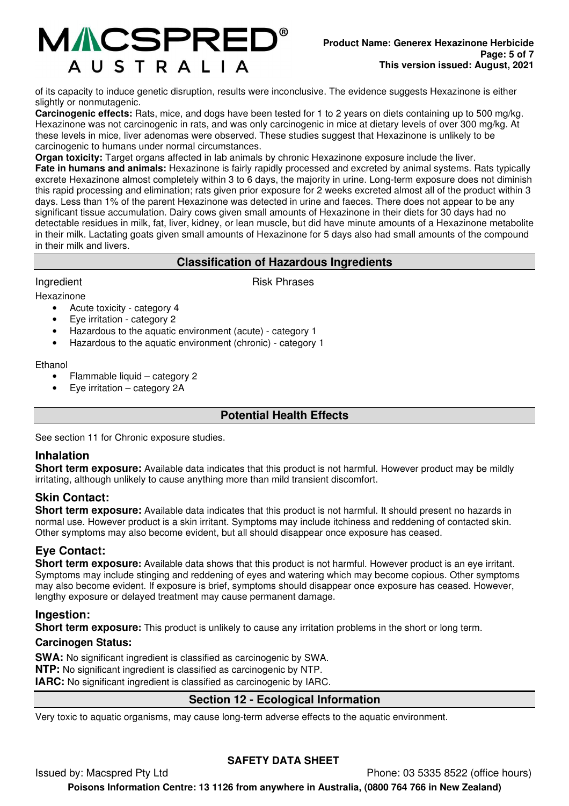

of its capacity to induce genetic disruption, results were inconclusive. The evidence suggests Hexazinone is either slightly or nonmutagenic.

**Carcinogenic effects:** Rats, mice, and dogs have been tested for 1 to 2 years on diets containing up to 500 mg/kg. Hexazinone was not carcinogenic in rats, and was only carcinogenic in mice at dietary levels of over 300 mg/kg. At these levels in mice, liver adenomas were observed. These studies suggest that Hexazinone is unlikely to be carcinogenic to humans under normal circumstances.

**Organ toxicity:** Target organs affected in lab animals by chronic Hexazinone exposure include the liver.

**Fate in humans and animals:** Hexazinone is fairly rapidly processed and excreted by animal systems. Rats typically excrete Hexazinone almost completely within 3 to 6 days, the majority in urine. Long-term exposure does not diminish this rapid processing and elimination; rats given prior exposure for 2 weeks excreted almost all of the product within 3 days. Less than 1% of the parent Hexazinone was detected in urine and faeces. There does not appear to be any significant tissue accumulation. Dairy cows given small amounts of Hexazinone in their diets for 30 days had no detectable residues in milk, fat, liver, kidney, or lean muscle, but did have minute amounts of a Hexazinone metabolite in their milk. Lactating goats given small amounts of Hexazinone for 5 days also had small amounts of the compound in their milk and livers.

# **Classification of Hazardous Ingredients**

Ingredient **Risk Phrases** 

#### Hexazinone

- Acute toxicity category 4
- Eye irritation category 2
- Hazardous to the aquatic environment (acute) category 1
- Hazardous to the aquatic environment (chronic) category 1

#### Ethanol

- Flammable liquid category 2
- Eye irritation category 2A

# **Potential Health Effects**

See section 11 for Chronic exposure studies.

# **Inhalation**

**Short term exposure:** Available data indicates that this product is not harmful. However product may be mildly irritating, although unlikely to cause anything more than mild transient discomfort.

# **Skin Contact:**

**Short term exposure:** Available data indicates that this product is not harmful. It should present no hazards in normal use. However product is a skin irritant. Symptoms may include itchiness and reddening of contacted skin. Other symptoms may also become evident, but all should disappear once exposure has ceased.

# **Eye Contact:**

**Short term exposure:** Available data shows that this product is not harmful. However product is an eye irritant. Symptoms may include stinging and reddening of eyes and watering which may become copious. Other symptoms may also become evident. If exposure is brief, symptoms should disappear once exposure has ceased. However, lengthy exposure or delayed treatment may cause permanent damage.

# **Ingestion:**

**Short term exposure:** This product is unlikely to cause any irritation problems in the short or long term.

#### **Carcinogen Status:**

**SWA:** No significant ingredient is classified as carcinogenic by SWA. **NTP:** No significant ingredient is classified as carcinogenic by NTP. **IARC:** No significant ingredient is classified as carcinogenic by IARC.

# **Section 12 - Ecological Information**

Very toxic to aquatic organisms, may cause long-term adverse effects to the aquatic environment.

# **SAFETY DATA SHEET**

Issued by: Macspred Pty Ltd Phone: 03 5335 8522 (office hours)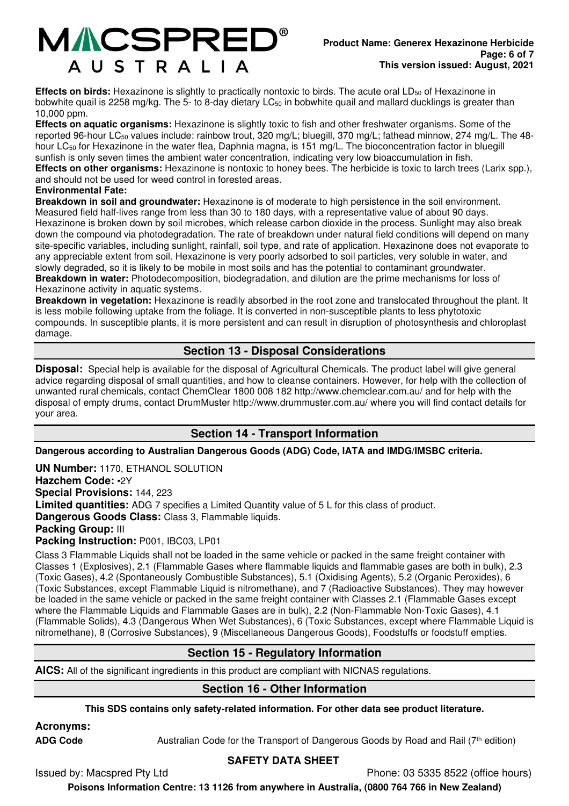

**Effects on birds:** Hexazinone is slightly to practically nontoxic to birds. The acute oral LD<sub>50</sub> of Hexazinone in bobwhite quail is 2258 mg/kg. The 5- to 8-day dietary  $LG_{50}$  in bobwhite quail and mallard ducklings is greater than 10,000 ppm.

**Effects on aquatic organisms:** Hexazinone is slightly toxic to fish and other freshwater organisms. Some of the reported 96-hour LC<sub>50</sub> values include: rainbow trout, 320 mg/L; bluegill, 370 mg/L; fathead minnow, 274 mg/L. The 48hour LC<sub>50</sub> for Hexazinone in the water flea, Daphnia magna, is 151 mg/L. The bioconcentration factor in bluegill sunfish is only seven times the ambient water concentration, indicating very low bioaccumulation in fish. **Effects on other organisms:** Hexazinone is nontoxic to honey bees. The herbicide is toxic to larch trees (Larix spp.), and should not be used for weed control in forested areas.

#### **Environmental Fate:**

**Breakdown in soil and groundwater:** Hexazinone is of moderate to high persistence in the soil environment. Measured field half-lives range from less than 30 to 180 days, with a representative value of about 90 days. Hexazinone is broken down by soil microbes, which release carbon dioxide in the process. Sunlight may also break down the compound via photodegradation. The rate of breakdown under natural field conditions will depend on many site-specific variables, including sunlight, rainfall, soil type, and rate of application. Hexazinone does not evaporate to any appreciable extent from soil. Hexazinone is very poorly adsorbed to soil particles, very soluble in water, and slowly degraded, so it is likely to be mobile in most soils and has the potential to contaminant groundwater. **Breakdown in water:** Photodecomposition, biodegradation, and dilution are the prime mechanisms for loss of Hexazinone activity in aquatic systems.

**Breakdown in vegetation:** Hexazinone is readily absorbed in the root zone and translocated throughout the plant. It is less mobile following uptake from the foliage. It is converted in non-susceptible plants to less phytotoxic compounds. In susceptible plants, it is more persistent and can result in disruption of photosynthesis and chloroplast damage.

# **Section 13 - Disposal Considerations**

**Disposal:** Special help is available for the disposal of Agricultural Chemicals. The product label will give general advice regarding disposal of small quantities, and how to cleanse containers. However, for help with the collection of unwanted rural chemicals, contact ChemClear 1800 008 182 http://www.chemclear.com.au/ and for help with the disposal of empty drums, contact DrumMuster http://www.drummuster.com.au/ where you will find contact details for your area.

#### **Section 14 - Transport Information**

**Dangerous according to Australian Dangerous Goods (ADG) Code, IATA and IMDG/IMSBC criteria.**

**UN Number:** 1170, ETHANOL SOLUTION **Hazchem Code:** •2Y **Special Provisions:** 144, 223 **Limited quantities:** ADG 7 specifies a Limited Quantity value of 5 L for this class of product. **Dangerous Goods Class:** Class 3, Flammable liquids. **Packing Group:** III **Packing Instruction:** P001, IBC03, LP01

Class 3 Flammable Liquids shall not be loaded in the same vehicle or packed in the same freight container with Classes 1 (Explosives), 2.1 (Flammable Gases where flammable liquids and flammable gases are both in bulk), 2.3 (Toxic Gases), 4.2 (Spontaneously Combustible Substances), 5.1 (Oxidising Agents), 5.2 (Organic Peroxides), 6 (Toxic Substances, except Flammable Liquid is nitromethane), and 7 (Radioactive Substances). They may however be loaded in the same vehicle or packed in the same freight container with Classes 2.1 (Flammable Gases except where the Flammable Liquids and Flammable Gases are in bulk), 2.2 (Non-Flammable Non-Toxic Gases), 4.1 (Flammable Solids), 4.3 (Dangerous When Wet Substances), 6 (Toxic Substances, except where Flammable Liquid is nitromethane), 8 (Corrosive Substances), 9 (Miscellaneous Dangerous Goods), Foodstuffs or foodstuff empties.

# **Section 15 - Regulatory Information**

**AICS:** All of the significant ingredients in this product are compliant with NICNAS regulations.

# **Section 16 - Other Information**

**This SDS contains only safety-related information. For other data see product literature.** 

**Acronyms:** 

**ADG Code** Australian Code for the Transport of Dangerous Goods by Road and Rail (7<sup>th</sup> edition)

# **SAFETY DATA SHEET**

Issued by: Macspred Pty Ltd **Phone: 03 5335 8522** (office hours)